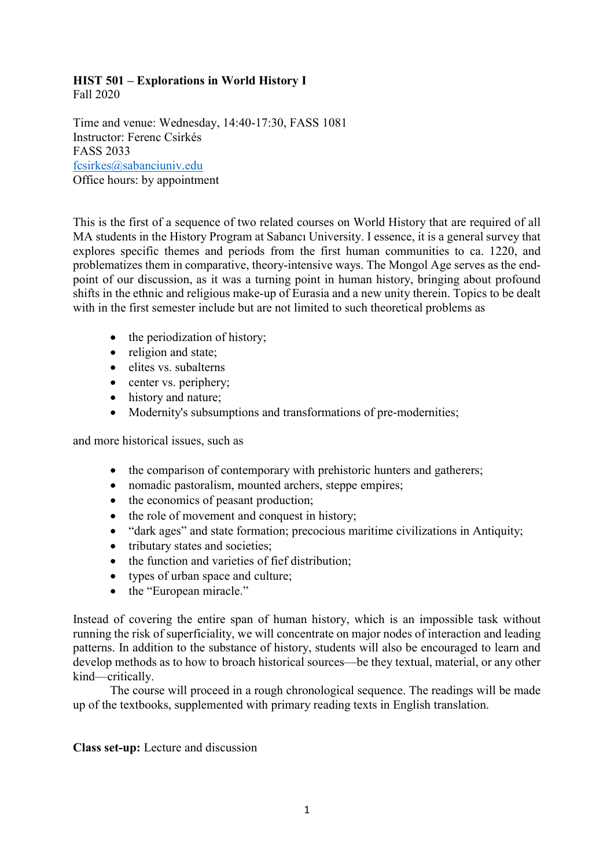# HIST 501 – Explorations in World History I

Fall 2020

Time and venue: Wednesday, 14:40-17:30, FASS 1081 Instructor: Ferenc Csirkés FASS 2033 fcsirkes@sabanciuniv.edu Office hours: by appointment

This is the first of a sequence of two related courses on World History that are required of all MA students in the History Program at Sabancı University. I essence, it is a general survey that explores specific themes and periods from the first human communities to ca. 1220, and problematizes them in comparative, theory-intensive ways. The Mongol Age serves as the endpoint of our discussion, as it was a turning point in human history, bringing about profound shifts in the ethnic and religious make-up of Eurasia and a new unity therein. Topics to be dealt with in the first semester include but are not limited to such theoretical problems as

- the periodization of history;
- religion and state:
- elites vs. subalterns
- center vs. periphery;
- history and nature;
- Modernity's subsumptions and transformations of pre-modernities;

and more historical issues, such as

- the comparison of contemporary with prehistoric hunters and gatherers;
- nomadic pastoralism, mounted archers, steppe empires;
- the economics of peasant production;
- the role of movement and conquest in history;
- "dark ages" and state formation; precocious maritime civilizations in Antiquity;
- tributary states and societies;
- the function and varieties of fief distribution;
- types of urban space and culture;
- the "European miracle."

Instead of covering the entire span of human history, which is an impossible task without running the risk of superficiality, we will concentrate on major nodes of interaction and leading patterns. In addition to the substance of history, students will also be encouraged to learn and develop methods as to how to broach historical sources—be they textual, material, or any other kind—critically.

The course will proceed in a rough chronological sequence. The readings will be made up of the textbooks, supplemented with primary reading texts in English translation.

# Class set-up: Lecture and discussion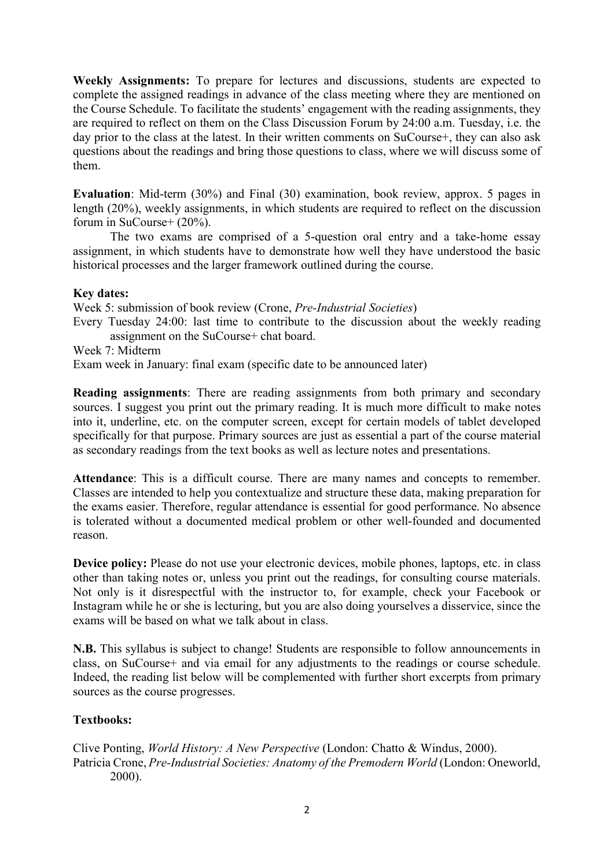Weekly Assignments: To prepare for lectures and discussions, students are expected to complete the assigned readings in advance of the class meeting where they are mentioned on the Course Schedule. To facilitate the students' engagement with the reading assignments, they are required to reflect on them on the Class Discussion Forum by 24:00 a.m. Tuesday, i.e. the day prior to the class at the latest. In their written comments on SuCourse+, they can also ask questions about the readings and bring those questions to class, where we will discuss some of them.

Evaluation: Mid-term (30%) and Final (30) examination, book review, approx. 5 pages in length (20%), weekly assignments, in which students are required to reflect on the discussion forum in SuCourse+ (20%).

The two exams are comprised of a 5-question oral entry and a take-home essay assignment, in which students have to demonstrate how well they have understood the basic historical processes and the larger framework outlined during the course.

### Key dates:

Week 5: submission of book review (Crone, Pre-Industrial Societies)

Every Tuesday 24:00: last time to contribute to the discussion about the weekly reading assignment on the SuCourse+ chat board.

Week 7: Midterm

Exam week in January: final exam (specific date to be announced later)

Reading assignments: There are reading assignments from both primary and secondary sources. I suggest you print out the primary reading. It is much more difficult to make notes into it, underline, etc. on the computer screen, except for certain models of tablet developed specifically for that purpose. Primary sources are just as essential a part of the course material as secondary readings from the text books as well as lecture notes and presentations.

Attendance: This is a difficult course. There are many names and concepts to remember. Classes are intended to help you contextualize and structure these data, making preparation for the exams easier. Therefore, regular attendance is essential for good performance. No absence is tolerated without a documented medical problem or other well-founded and documented reason.

Device policy: Please do not use your electronic devices, mobile phones, laptops, etc. in class other than taking notes or, unless you print out the readings, for consulting course materials. Not only is it disrespectful with the instructor to, for example, check your Facebook or Instagram while he or she is lecturing, but you are also doing yourselves a disservice, since the exams will be based on what we talk about in class.

N.B. This syllabus is subject to change! Students are responsible to follow announcements in class, on SuCourse+ and via email for any adjustments to the readings or course schedule. Indeed, the reading list below will be complemented with further short excerpts from primary sources as the course progresses.

# Textbooks:

Clive Ponting, World History: A New Perspective (London: Chatto & Windus, 2000). Patricia Crone, Pre-Industrial Societies: Anatomy of the Premodern World (London: Oneworld, 2000).